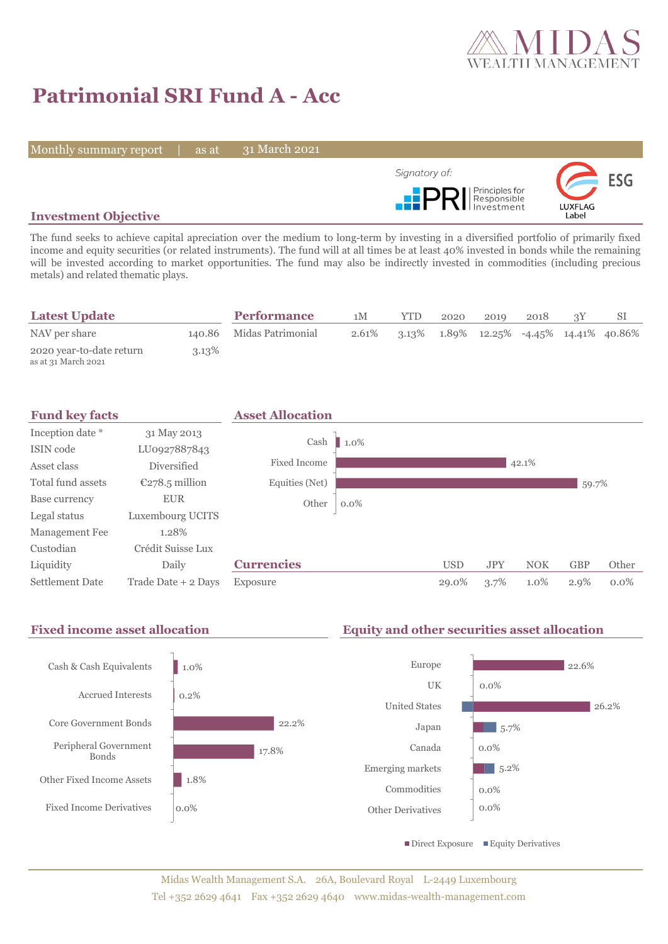

# **Patrimonial SRI Fund A - Acc**

Monthly summary report | as at

31 March 2021



#### **Investment Objective**

The fund seeks to achieve capital apreciation over the medium to long-term by investing in a diversified portfolio of primarily fixed income and equity securities (or related instruments). The fund will at all times be at least 40% invested in bonds while the remaining will be invested according to market opportunities. The fund may also be indirectly invested in commodities (including precious metals) and related thematic plays.

| <b>Latest Update</b>                            |          | <b>Performance</b>       | 1M    | <b>YTD</b> | 2020 | 2019 | 2018 |                                                           |
|-------------------------------------------------|----------|--------------------------|-------|------------|------|------|------|-----------------------------------------------------------|
| NAV per share                                   |          | 140.86 Midas Patrimonial | 2.61% |            |      |      |      | $3.13\%$ $1.89\%$ $12.25\%$ $-4.45\%$ $14.41\%$ $40.86\%$ |
| 2020 year-to-date return<br>as at 31 March 2021 | $3.13\%$ |                          |       |            |      |      |      |                                                           |



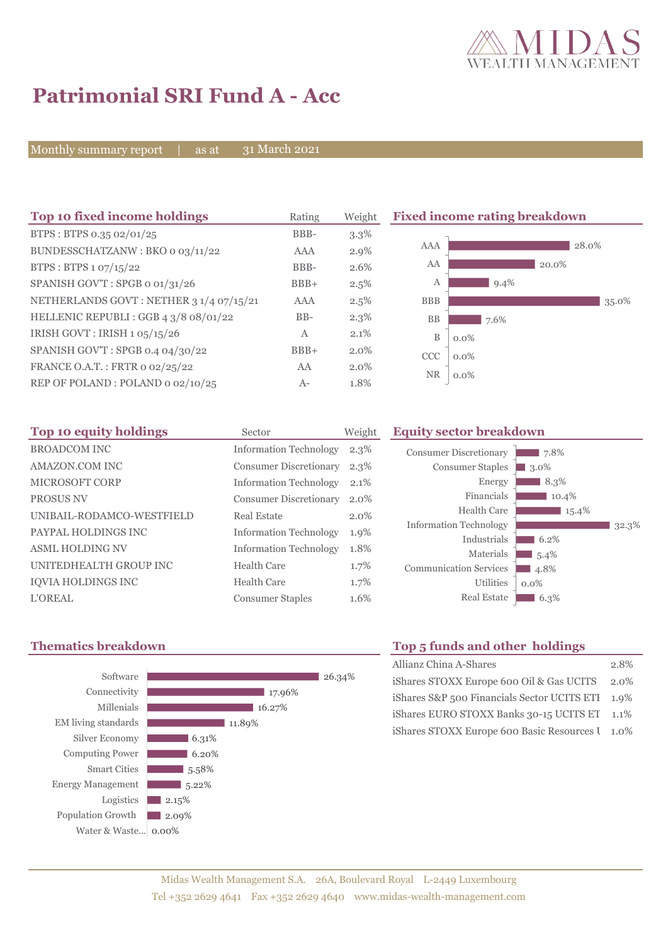

## **Patrimonial SRI Fund A - Acc**

Monthly summary report | as at

31 March 2021

| Top 10 fixed income holdings            | Rating | Weight  | <b>Fixed income rating breakdown</b> |         |  |
|-----------------------------------------|--------|---------|--------------------------------------|---------|--|
| BTPS: BTPS 0.35 02/01/25                | BBB-   | $3.3\%$ |                                      |         |  |
| BUNDESSCHATZANW: BKO 0 03/11/22         | AAA    | $2.9\%$ | AAA                                  | 28.0%   |  |
| BTPS: BTPS 1 07/15/22                   | BBB-   | 2.6%    | AA                                   | 20.0%   |  |
| SPANISH GOV'T: SPGB o 01/31/26          | $BBB+$ | 2.5%    | А                                    | $9.4\%$ |  |
| NETHERLANDS GOVT: NETHER 3 1/4 07/15/21 | AAA    | 2.5%    | <b>BBB</b>                           | 35.0%   |  |
| HELLENIC REPUBLI: GGB 4 3/8 08/01/22    | $BB-$  | $2.3\%$ | <b>BB</b>                            | 7.6%    |  |
| IRISH GOVT : IRISH 1 05/15/26           | A      | 2.1%    | $\mathbf B$                          | $0.0\%$ |  |
| SPANISH GOV'T: SPGB 0.4 04/30/22        | $BBB+$ | 2.0%    | <b>CCC</b>                           | $0.0\%$ |  |
| FRANCE O.A.T.: FRTR 0 02/25/22          | AA     | 2.0%    | <b>NR</b>                            | $0.0\%$ |  |
| REP OF POLAND: POLAND 0 02/10/25        | $A-$   | 1.8%    |                                      |         |  |

| Top 10 equity holdings    | Sector                        | Weight  |
|---------------------------|-------------------------------|---------|
| <b>BROADCOM INC</b>       | <b>Information Technology</b> | $2.3\%$ |
| AMAZON.COM INC            | <b>Consumer Discretionary</b> | $2.3\%$ |
| MICROSOFT CORP            | <b>Information Technology</b> | 2.1%    |
| PROSUS NV                 | <b>Consumer Discretionary</b> | $2.0\%$ |
| UNIBAIL-RODAMCO-WESTFIELD | Real Estate                   | 2.0%    |
| PAYPAL HOLDINGS INC       | <b>Information Technology</b> | 1.9%    |
| <b>ASML HOLDING NV</b>    | <b>Information Technology</b> | 1.8%    |
| UNITEDHEALTH GROUP INC    | Health Care                   | 1.7%    |
| IQVIA HOLDINGS INC        | Health Care                   | 1.7%    |
| <b>L'OREAL</b>            | <b>Consumer Staples</b>       | 1.6%    |



## Energy 8.3%

**Equity sector breakdown** 

Consumer Discretionary Consumer Staples

| Financials                    | 10.4%   |       |
|-------------------------------|---------|-------|
| <b>Health Care</b>            | 15.4%   |       |
| <b>Information Technology</b> |         | 32.3% |
| Industrials                   | 6.2%    |       |
| Materials                     | 5.4%    |       |
| <b>Communication Services</b> | 4.8%    |       |
| <b>Utilities</b>              | $0.0\%$ |       |
| <b>Real Estate</b>            | 6.3%    |       |

7.8% **3.0%** 

### **Thematics breakdown Top 5 funds and other holdings**

| Allianz China A-Shares                           | 2.8% |
|--------------------------------------------------|------|
| iShares STOXX Europe 600 Oil & Gas UCITS 2.0%    |      |
| iShares S&P 500 Financials Sector UCITS ETI 1.9% |      |
| iShares EURO STOXX Banks 30-15 UCITS ET 1.1%     |      |
| iShares STOXX Europe 600 Basic Resources I 1.0%  |      |